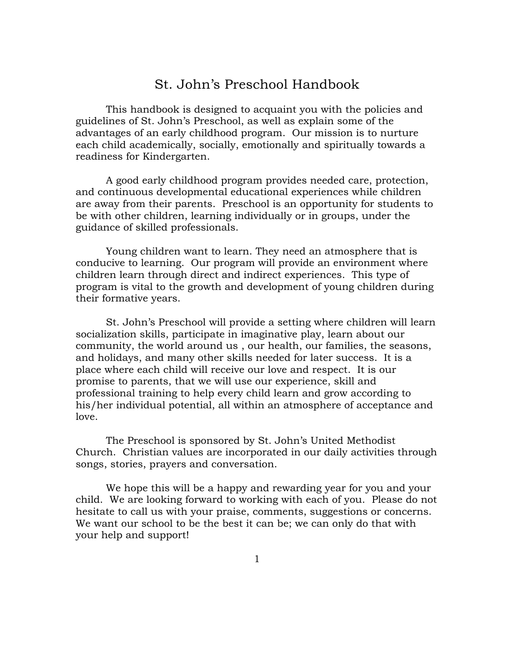# St. John's Preschool Handbook

This handbook is designed to acquaint you with the policies and guidelines of St. John's Preschool, as well as explain some of the advantages of an early childhood program. Our mission is to nurture each child academically, socially, emotionally and spiritually towards a readiness for Kindergarten.

A good early childhood program provides needed care, protection, and continuous developmental educational experiences while children are away from their parents. Preschool is an opportunity for students to be with other children, learning individually or in groups, under the guidance of skilled professionals.

Young children want to learn. They need an atmosphere that is conducive to learning. Our program will provide an environment where children learn through direct and indirect experiences. This type of program is vital to the growth and development of young children during their formative years.

St. John's Preschool will provide a setting where children will learn socialization skills, participate in imaginative play, learn about our community, the world around us , our health, our families, the seasons, and holidays, and many other skills needed for later success. It is a place where each child will receive our love and respect. It is our promise to parents, that we will use our experience, skill and professional training to help every child learn and grow according to his/her individual potential, all within an atmosphere of acceptance and love.

The Preschool is sponsored by St. John's United Methodist Church. Christian values are incorporated in our daily activities through songs, stories, prayers and conversation.

We hope this will be a happy and rewarding year for you and your child. We are looking forward to working with each of you. Please do not hesitate to call us with your praise, comments, suggestions or concerns. We want our school to be the best it can be; we can only do that with your help and support!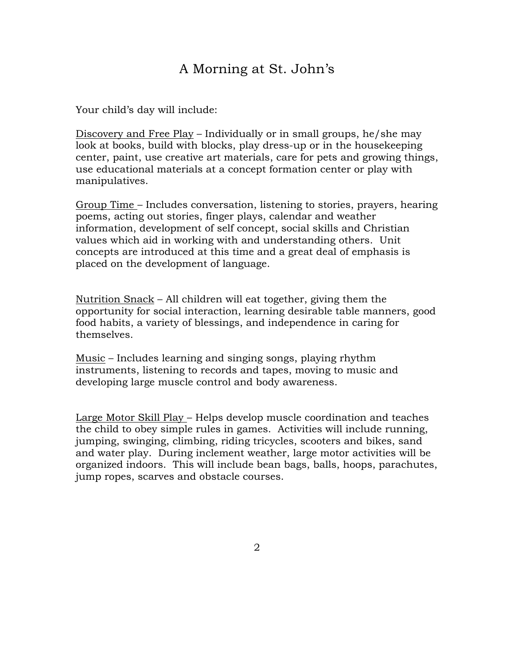# A Morning at St. John's

Your child's day will include:

Discovery and Free Play – Individually or in small groups, he/she may look at books, build with blocks, play dress-up or in the housekeeping center, paint, use creative art materials, care for pets and growing things, use educational materials at a concept formation center or play with manipulatives.

Group Time – Includes conversation, listening to stories, prayers, hearing poems, acting out stories, finger plays, calendar and weather information, development of self concept, social skills and Christian values which aid in working with and understanding others. Unit concepts are introduced at this time and a great deal of emphasis is placed on the development of language.

Nutrition Snack – All children will eat together, giving them the opportunity for social interaction, learning desirable table manners, good food habits, a variety of blessings, and independence in caring for themselves.

Music – Includes learning and singing songs, playing rhythm instruments, listening to records and tapes, moving to music and developing large muscle control and body awareness.

Large Motor Skill Play – Helps develop muscle coordination and teaches the child to obey simple rules in games. Activities will include running, jumping, swinging, climbing, riding tricycles, scooters and bikes, sand and water play. During inclement weather, large motor activities will be organized indoors. This will include bean bags, balls, hoops, parachutes, jump ropes, scarves and obstacle courses.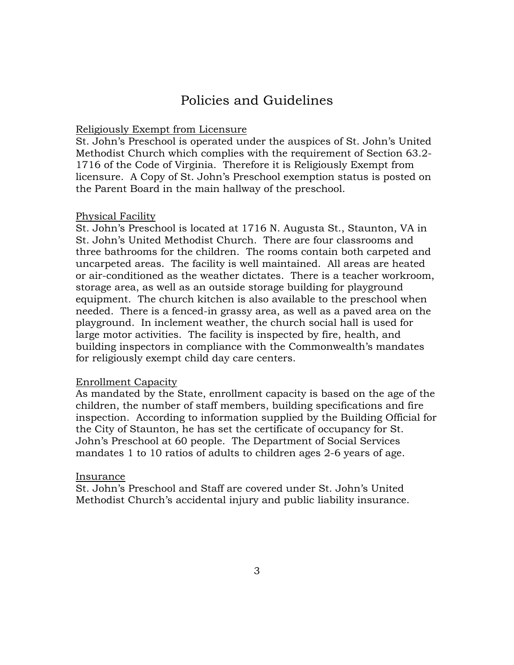# Policies and Guidelines

### Religiously Exempt from Licensure

St. John's Preschool is operated under the auspices of St. John's United Methodist Church which complies with the requirement of Section 63.2- 1716 of the Code of Virginia. Therefore it is Religiously Exempt from licensure. A Copy of St. John's Preschool exemption status is posted on the Parent Board in the main hallway of the preschool.

#### Physical Facility

St. John's Preschool is located at 1716 N. Augusta St., Staunton, VA in St. John's United Methodist Church. There are four classrooms and three bathrooms for the children. The rooms contain both carpeted and uncarpeted areas. The facility is well maintained. All areas are heated or air-conditioned as the weather dictates. There is a teacher workroom, storage area, as well as an outside storage building for playground equipment. The church kitchen is also available to the preschool when needed. There is a fenced-in grassy area, as well as a paved area on the playground. In inclement weather, the church social hall is used for large motor activities. The facility is inspected by fire, health, and building inspectors in compliance with the Commonwealth's mandates for religiously exempt child day care centers.

#### Enrollment Capacity

As mandated by the State, enrollment capacity is based on the age of the children, the number of staff members, building specifications and fire inspection. According to information supplied by the Building Official for the City of Staunton, he has set the certificate of occupancy for St. John's Preschool at 60 people. The Department of Social Services mandates 1 to 10 ratios of adults to children ages 2-6 years of age.

#### Insurance

St. John's Preschool and Staff are covered under St. John's United Methodist Church's accidental injury and public liability insurance.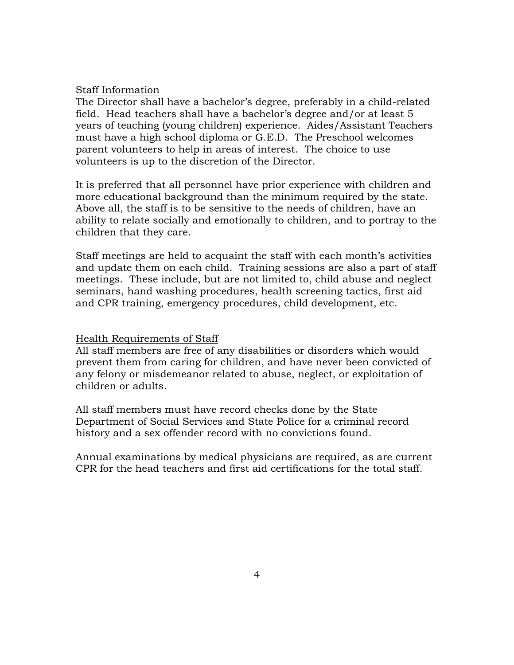#### Staff Information

The Director shall have a bachelor's degree, preferably in a child-related field. Head teachers shall have a bachelor's degree and/or at least 5 years of teaching (young children) experience. Aides/Assistant Teachers must have a high school diploma or G.E.D. The Preschool welcomes parent volunteers to help in areas of interest. The choice to use volunteers is up to the discretion of the Director.

It is preferred that all personnel have prior experience with children and more educational background than the minimum required by the state. Above all, the staff is to be sensitive to the needs of children, have an ability to relate socially and emotionally to children, and to portray to the children that they care.

Staff meetings are held to acquaint the staff with each month's activities and update them on each child. Training sessions are also a part of staff meetings. These include, but are not limited to, child abuse and neglect seminars, hand washing procedures, health screening tactics, first aid and CPR training, emergency procedures, child development, etc.

#### Health Requirements of Staff

All staff members are free of any disabilities or disorders which would prevent them from caring for children, and have never been convicted of any felony or misdemeanor related to abuse, neglect, or exploitation of children or adults.

All staff members must have record checks done by the State Department of Social Services and State Police for a criminal record history and a sex offender record with no convictions found.

Annual examinations by medical physicians are required, as are current CPR for the head teachers and first aid certifications for the total staff.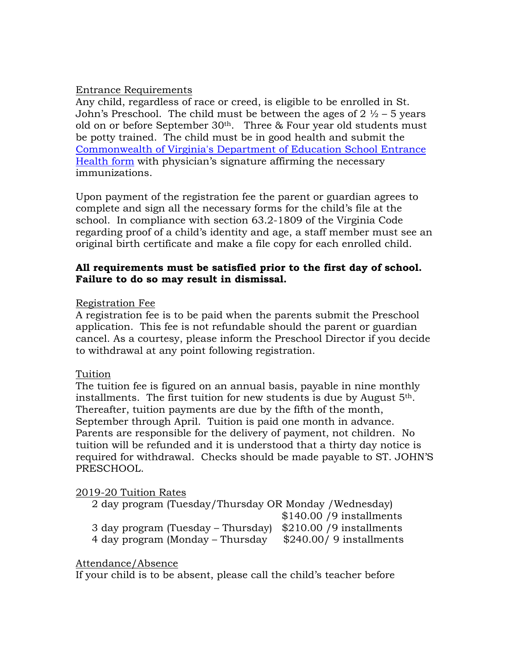# Entrance Requirements

Any child, regardless of race or creed, is eligible to be enrolled in St. John's Preschool. The child must be between the ages of  $2 \frac{1}{2} - 5$  years old on or before September  $30<sup>th</sup>$ . Three & Four year old students must be potty trained. The child must be in good health and submit the Commonwealth of Virginia's Department of Education School Entrance Health form with physician's signature affirming the necessary immunizations.

Upon payment of the registration fee the parent or guardian agrees to complete and sign all the necessary forms for the child's file at the school. In compliance with section 63.2-1809 of the Virginia Code regarding proof of a child's identity and age, a staff member must see an original birth certificate and make a file copy for each enrolled child.

# **All requirements must be satisfied prior to the first day of school. Failure to do so may result in dismissal.**

# Registration Fee

A registration fee is to be paid when the parents submit the Preschool application. This fee is not refundable should the parent or guardian cancel. As a courtesy, please inform the Preschool Director if you decide to withdrawal at any point following registration.

# Tuition

The tuition fee is figured on an annual basis, payable in nine monthly installments. The first tuition for new students is due by August  $5<sup>th</sup>$ . Thereafter, tuition payments are due by the fifth of the month, September through April. Tuition is paid one month in advance. Parents are responsible for the delivery of payment, not children. No tuition will be refunded and it is understood that a thirty day notice is required for withdrawal. Checks should be made payable to ST. JOHN'S PRESCHOOL.

# 2019-20 Tuition Rates

 2 day program (Tuesday/Thursday OR Monday /Wednesday) \$140.00 /9 installments 3 day program (Tuesday – Thursday) \$210.00 /9 installments 4 day program (Monday – Thursday  $$240.00/9$  installments

# Attendance/Absence

If your child is to be absent, please call the child's teacher before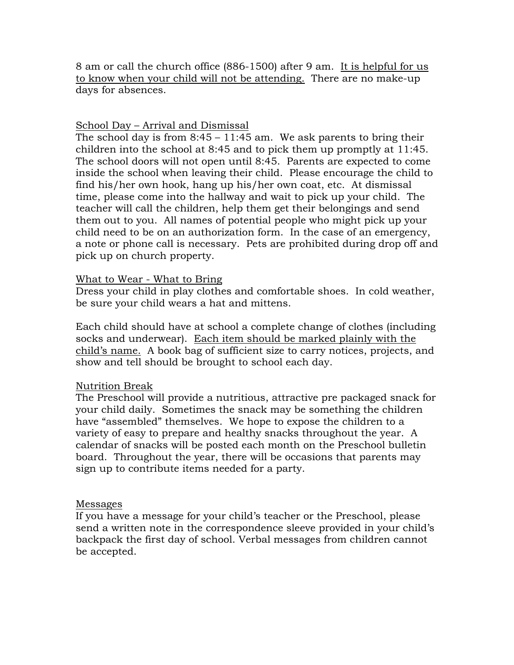8 am or call the church office (886-1500) after 9 am. It is helpful for us to know when your child will not be attending. There are no make-up days for absences.

# School Day – Arrival and Dismissal

The school day is from  $8:45 - 11:45$  am. We ask parents to bring their children into the school at 8:45 and to pick them up promptly at 11:45. The school doors will not open until 8:45. Parents are expected to come inside the school when leaving their child. Please encourage the child to find his/her own hook, hang up his/her own coat, etc. At dismissal time, please come into the hallway and wait to pick up your child. The teacher will call the children, help them get their belongings and send them out to you. All names of potential people who might pick up your child need to be on an authorization form. In the case of an emergency, a note or phone call is necessary. Pets are prohibited during drop off and pick up on church property.

# What to Wear - What to Bring

Dress your child in play clothes and comfortable shoes. In cold weather, be sure your child wears a hat and mittens.

Each child should have at school a complete change of clothes (including socks and underwear). Each item should be marked plainly with the child's name. A book bag of sufficient size to carry notices, projects, and show and tell should be brought to school each day.

# Nutrition Break

The Preschool will provide a nutritious, attractive pre packaged snack for your child daily. Sometimes the snack may be something the children have "assembled" themselves. We hope to expose the children to a variety of easy to prepare and healthy snacks throughout the year. A calendar of snacks will be posted each month on the Preschool bulletin board. Throughout the year, there will be occasions that parents may sign up to contribute items needed for a party.

### Messages

If you have a message for your child's teacher or the Preschool, please send a written note in the correspondence sleeve provided in your child's backpack the first day of school. Verbal messages from children cannot be accepted.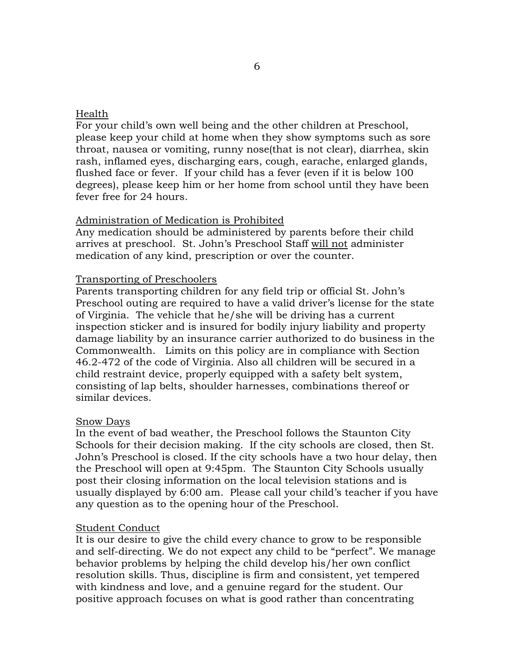## Health

For your child's own well being and the other children at Preschool, please keep your child at home when they show symptoms such as sore throat, nausea or vomiting, runny nose(that is not clear), diarrhea, skin rash, inflamed eyes, discharging ears, cough, earache, enlarged glands, flushed face or fever. If your child has a fever (even if it is below 100 degrees), please keep him or her home from school until they have been fever free for 24 hours.

### Administration of Medication is Prohibited

Any medication should be administered by parents before their child arrives at preschool. St. John's Preschool Staff will not administer medication of any kind, prescription or over the counter.

## Transporting of Preschoolers

Parents transporting children for any field trip or official St. John's Preschool outing are required to have a valid driver's license for the state of Virginia. The vehicle that he/she will be driving has a current inspection sticker and is insured for bodily injury liability and property damage liability by an insurance carrier authorized to do business in the Commonwealth. Limits on this policy are in compliance with Section 46.2-472 of the code of Virginia. Also all children will be secured in a child restraint device, properly equipped with a safety belt system, consisting of lap belts, shoulder harnesses, combinations thereof or similar devices.

### Snow Days

In the event of bad weather, the Preschool follows the Staunton City Schools for their decision making. If the city schools are closed, then St. John's Preschool is closed. If the city schools have a two hour delay, then the Preschool will open at 9:45pm. The Staunton City Schools usually post their closing information on the local television stations and is usually displayed by 6:00 am. Please call your child's teacher if you have any question as to the opening hour of the Preschool.

### Student Conduct

It is our desire to give the child every chance to grow to be responsible and self-directing. We do not expect any child to be "perfect". We manage behavior problems by helping the child develop his/her own conflict resolution skills. Thus, discipline is firm and consistent, yet tempered with kindness and love, and a genuine regard for the student. Our positive approach focuses on what is good rather than concentrating